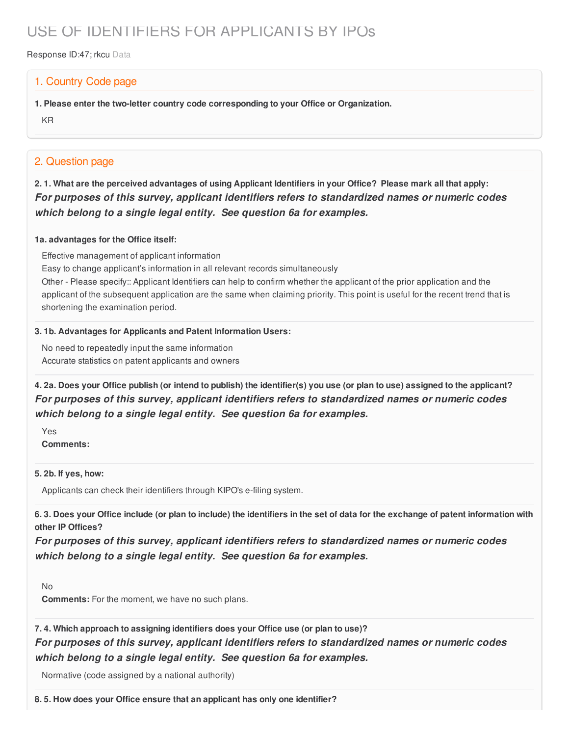# USE OF IDENTIFIERS FOR APPLICANTS BY IPOs

Response ID:47; rkcu Data

# 1. Country Code page

**1. Please enter the two-letter country code corresponding to your Office or Organization.**

KR

# 2. Question page

2.1. What are the perceived advantages of using Applicant Identifiers in your Office? Please mark all that apply: *For purposes of this survey, applicant identifiers refers to standardized names or numeric codes which belong to a single legal entity. See question 6a for examples.*

### **1a. advantages for the Office itself:**

Effective management of applicant information

Easy to change applicant's information in all relevant records simultaneously

Other - Please specify:: Applicant Identifiers can help to confirm whether the applicant of the prior application and the applicant of the subsequent application are the same when claiming priority. This point is useful for the recent trend that is shortening the examination period.

# **3. 1b. Advantages for Applicants and Patent Information Users:**

No need to repeatedly input the same information Accurate statistics on patent applicants and owners

4. 2a. Does your Office publish (or intend to publish) the identifier(s) you use (or plan to use) assigned to the applicant? *For purposes of this survey, applicant identifiers refers to standardized names or numeric codes which belong to a single legal entity. See question 6a for examples.*

Yes **Comments:**

### **5. 2b. If yes, how:**

Applicants can check their identifiers through KIPO's e-filing system.

6.3. Does your Office include (or plan to include) the identifiers in the set of data for the exchange of patent information with **other IP Offices?**

*For purposes of this survey, applicant identifiers refers to standardized names or numeric codes which belong to a single legal entity. See question 6a for examples.*

No

**Comments:** For the moment, we have no such plans.

**7. 4. Which approach to assigning identifiers does your Office use (or plan to use)?** *For purposes of this survey, applicant identifiers refers to standardized names or numeric codes which belong to a single legal entity. See question 6a for examples.*

Normative (code assigned by a national authority)

**8. 5. How does your Office ensure that an applicant has only one identifier?**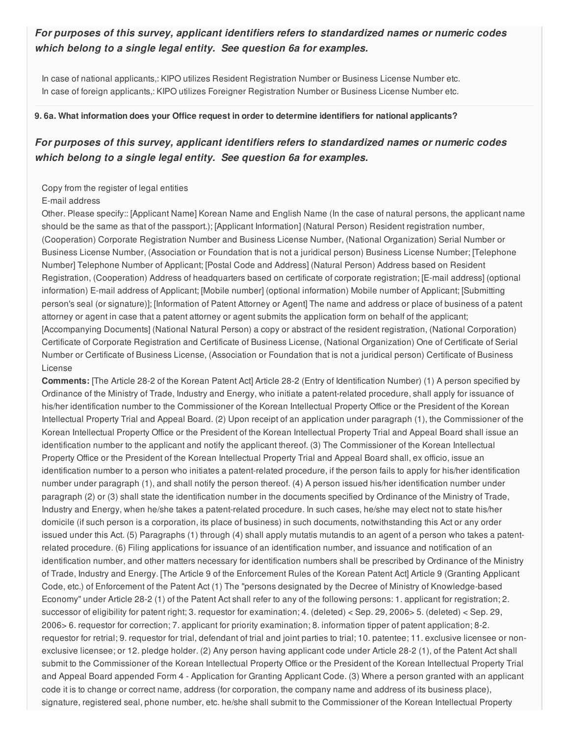# *For purposes of this survey, applicant identifiers refers to standardized names or numeric codes which belong to a single legal entity. See question 6a for examples.*

In case of national applicants,: KIPO utilizes Resident Registration Number or Business License Number etc. In case of foreign applicants,: KIPO utilizes Foreigner Registration Number or Business License Number etc.

#### **9. 6a. What information does your Office request in order to determine identifiers for national applicants?**

# *For purposes of this survey, applicant identifiers refers to standardized names or numeric codes which belong to a single legal entity. See question 6a for examples.*

#### Copy from the register of legal entities

#### E-mail address

Other. Please specify:: [Applicant Name] Korean Name and English Name (In the case of natural persons, the applicant name should be the same as that of the passport.); [Applicant Information] (Natural Person) Resident registration number, (Cooperation) Corporate Registration Number and Business License Number, (National Organization) Serial Number or Business License Number, (Association or Foundation that is not a juridical person) Business License Number; [Telephone Number] Telephone Number of Applicant; [Postal Code and Address] (Natural Person) Address based on Resident Registration, (Cooperation) Address of headquarters based on certificate of corporate registration; [E-mail address] (optional information) E-mail address of Applicant; [Mobile number] (optional information) Mobile number of Applicant; [Submitting person's seal (or signature)]; [Information of Patent Attorney or Agent] The name and address or place of business of a patent attorney or agent in case that a patent attorney or agent submits the application form on behalf of the applicant; [Accompanying Documents] (National Natural Person) a copy or abstract of the resident registration, (National Corporation) Certificate of Corporate Registration and Certificate of Business License, (National Organization) One of Certificate of Serial Number or Certificate of Business License, (Association or Foundation that is not a juridical person) Certificate of Business License

**Comments:** [The Article 28-2 of the Korean Patent Act] Article 28-2 (Entry of Identification Number) (1) A person specified by Ordinance of the Ministry of Trade, Industry and Energy, who initiate a patent-related procedure, shall apply for issuance of his/her identification number to the Commissioner of the Korean Intellectual Property Office or the President of the Korean Intellectual Property Trial and Appeal Board. (2) Upon receipt of an application under paragraph (1), the Commissioner of the Korean Intellectual Property Office or the President of the Korean Intellectual Property Trial and Appeal Board shall issue an identification number to the applicant and notify the applicant thereof. (3) The Commissioner of the Korean Intellectual Property Office or the President of the Korean Intellectual Property Trial and Appeal Board shall, ex officio, issue an identification number to a person who initiates a patent-related procedure, if the person fails to apply for his/her identification number under paragraph (1), and shall notify the person thereof. (4) A person issued his/her identification number under paragraph (2) or (3) shall state the identification number in the documents specified by Ordinance of the Ministry of Trade, Industry and Energy, when he/she takes a patent-related procedure. In such cases, he/she may elect not to state his/her domicile (if such person is a corporation, its place of business) in such documents, notwithstanding this Act or any order issued under this Act. (5) Paragraphs (1) through (4) shall apply mutatis mutandis to an agent of a person who takes a patentrelated procedure. (6) Filing applications for issuance of an identification number, and issuance and notification of an identification number, and other matters necessary for identification numbers shall be prescribed by Ordinance of the Ministry of Trade, Industry and Energy. [The Article 9 of the Enforcement Rules of the Korean Patent Act] Article 9 (Granting Applicant Code, etc.) of Enforcement of the Patent Act (1) The "persons designated by the Decree of Ministry of Knowledge-based Economy" under Article 28-2 (1) of the Patent Act shall refer to any of the following persons: 1. applicant for registration; 2. successor of eligibility for patent right; 3. requestor for examination; 4. (deleted) < Sep. 29, 2006> 5. (deleted) < Sep. 29, 2006> 6. requestor for correction; 7. applicant for priority examination; 8. information tipper of patent application; 8-2. requestor for retrial; 9. requestor for trial, defendant of trial and joint parties to trial; 10. patentee; 11. exclusive licensee or nonexclusive licensee; or 12. pledge holder. (2) Any person having applicant code under Article 28-2 (1), of the Patent Act shall submit to the Commissioner of the Korean Intellectual Property Office or the President of the Korean Intellectual Property Trial and Appeal Board appended Form 4 - Application for Granting Applicant Code. (3) Where a person granted with an applicant code it is to change or correct name, address (for corporation, the company name and address of its business place), signature, registered seal, phone number, etc. he/she shall submit to the Commissioner of the Korean Intellectual Property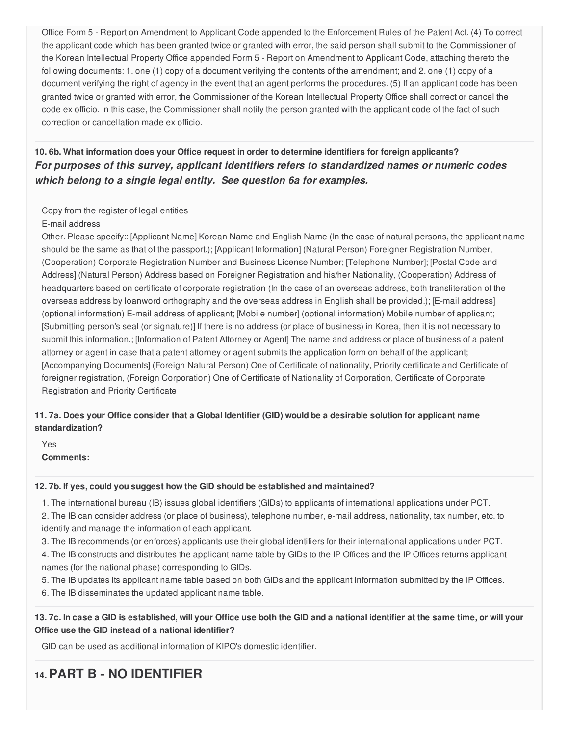Office Form 5 - Report on Amendment to Applicant Code appended to the Enforcement Rules of the Patent Act. (4) To correct the applicant code which has been granted twice or granted with error, the said person shall submit to the Commissioner of the Korean Intellectual Property Office appended Form 5 - Report on Amendment to Applicant Code, attaching thereto the following documents: 1. one (1) copy of a document verifying the contents of the amendment; and 2. one (1) copy of a document verifying the right of agency in the event that an agent performs the procedures. (5) If an applicant code has been granted twice or granted with error, the Commissioner of the Korean Intellectual Property Office shall correct or cancel the code ex officio. In this case, the Commissioner shall notify the person granted with the applicant code of the fact of such correction or cancellation made ex officio.

**10. 6b. What information does your Office request in order to determine identifiers for foreign applicants?** *For purposes of this survey, applicant identifiers refers to standardized names or numeric codes which belong to a single legal entity. See question 6a for examples.*

# Copy from the register of legal entities E-mail address

Other. Please specify:: [Applicant Name] Korean Name and English Name (In the case of natural persons, the applicant name should be the same as that of the passport.); [Applicant Information] (Natural Person) Foreigner Registration Number, (Cooperation) Corporate Registration Number and Business License Number; [Telephone Number]; [Postal Code and Address] (Natural Person) Address based on Foreigner Registration and his/her Nationality, (Cooperation) Address of headquarters based on certificate of corporate registration (In the case of an overseas address, both transliteration of the overseas address by loanword orthography and the overseas address in English shall be provided.); [E-mail address] (optional information) E-mail address of applicant; [Mobile number] (optional information) Mobile number of applicant; [Submitting person's seal (or signature)] If there is no address (or place of business) in Korea, then it is not necessary to submit this information.; [Information of Patent Attorney or Agent] The name and address or place of business of a patent attorney or agent in case that a patent attorney or agent submits the application form on behalf of the applicant; [Accompanying Documents] (Foreign Natural Person) One of Certificate of nationality, Priority certificate and Certificate of foreigner registration, (Foreign Corporation) One of Certificate of Nationality of Corporation, Certificate of Corporate Registration and Priority Certificate

# 11.7a. Does your Office consider that a Global Identifier (GID) would be a desirable solution for applicant name **standardization?**

Yes **Comments:**

### **12. 7b. If yes, could you suggest how the GID should be established and maintained?**

1. The international bureau (IB) issues global identifiers (GIDs) to applicants of international applications under PCT.

2. The IB can consider address (or place of business), telephone number, e-mail address, nationality, tax number, etc. to identify and manage the information of each applicant.

3. The IB recommends (or enforces) applicants use their global identifiers for their international applications under PCT.

4. The IB constructs and distributes the applicant name table by GIDs to the IP Offices and the IP Offices returns applicant names (for the national phase) corresponding to GIDs.

5. The IB updates its applicant name table based on both GIDs and the applicant information submitted by the IP Offices.

6. The IB disseminates the updated applicant name table.

# 13.7c. In case a GID is established, will your Office use both the GID and a national identifier at the same time, or will your **Office use the GID instead of a national identifier?**

GID can be used as additional information of KIPO's domestic identifier.

# **14.PART B - NO IDENTIFIER**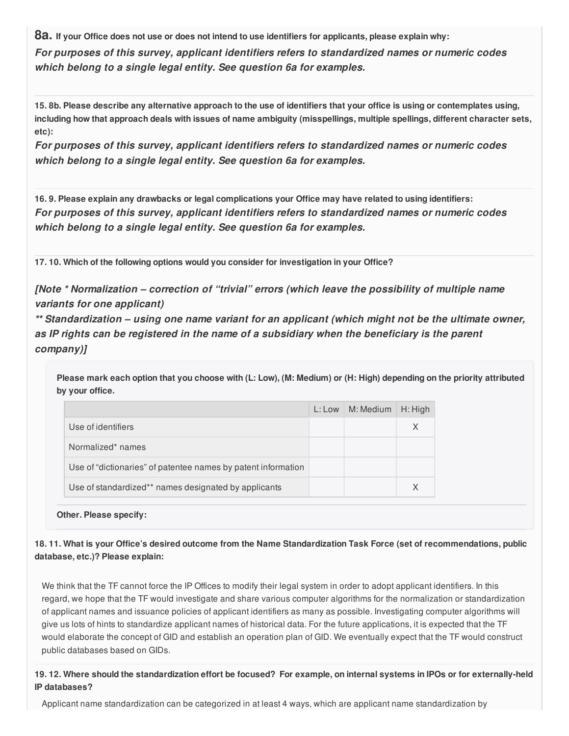8a. If your Office does not use or does not intend to use identifiers for applicants, please explain why: *For purposes of this survey, applicant identifiers refers to standardized names or numeric codes which belong to a single legal entity. See question 6a for examples.*

15.8b. Please describe any alternative approach to the use of identifiers that your office is using or contemplates using, including how that approach deals with issues of name ambiguity (misspellings, multiple spellings, different character sets, **etc):**

*For purposes of this survey, applicant identifiers refers to standardized names or numeric codes which belong to a single legal entity. See question 6a for examples.*

16.9. Please explain any drawbacks or legal complications your Office may have related to using identifiers: *For purposes of this survey, applicant identifiers refers to standardized names or numeric codes which belong to a single legal entity. See question 6a for examples.*

**17. 10. Which of the following options would you consider for investigation in your Office?**

*[Note \* Normalization – correction of "trivial" errors (which leave the possibility of multiple name variants for one applicant)*

*\*\* Standardization – using one name variant for an applicant (which might not be the ultimate owner, as IP rights can be registered in the name of a subsidiary when the beneficiary is the parent company)]*

Please mark each option that you choose with (L: Low), (M: Medium) or (H: High) depending on the priority attributed **by your office.**

|                                                               | $L:$ Low $\mid M:$ Medium | H: High |
|---------------------------------------------------------------|---------------------------|---------|
| Use of identifiers                                            |                           | X       |
| Normalized* names                                             |                           |         |
| Use of "dictionaries" of patentee names by patent information |                           |         |
| Use of standardized** names designated by applicants          |                           | X       |

**Other. Please specify:**

18.11. What is your Office's desired outcome from the Name Standardization Task Force (set of recommendations, public **database, etc.)? Please explain:**

We think that the TF cannot force the IP Offices to modify their legal system in order to adopt applicant identifiers. In this regard, we hope that the TF would investigate and share various computer algorithms for the normalization or standardization of applicant names and issuance policies of applicant identifiers as many as possible. Investigating computer algorithms will give us lots of hints to standardize applicant names of historical data. For the future applications, it is expected that the TF would elaborate the concept of GID and establish an operation plan of GID. We eventually expect that the TF would construct public databases based on GIDs.

19.12. Where should the standardization effort be focused? For example, on internal systems in IPOs or for externally-held **IP databases?**

Applicant name standardization can be categorized in at least 4 ways, which are applicant name standardization by